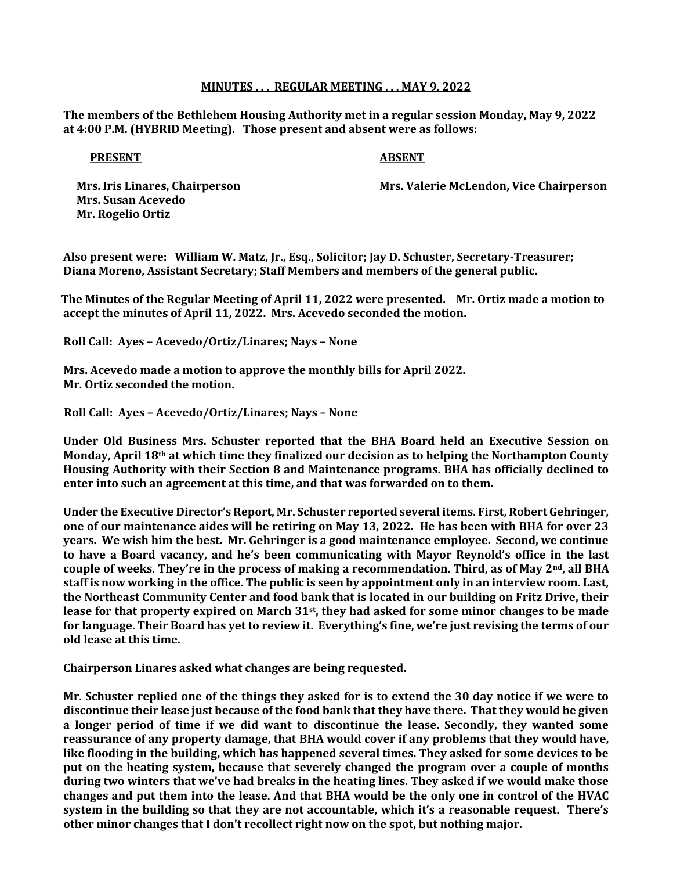## MINUTES . . . REGULAR MEETING . . . MAY 9, 2022

The members of the Bethlehem Housing Authority met in a regular session Monday, May 9, 2022 at 4:00 P.M. (HYBRID Meeting). Those present and absent were as follows:

## PRESENT ABSENT

 Mrs. Susan Acevedo Mr. Rogelio Ortiz

Mrs. Iris Linares, Chairperson Mrs. Valerie McLendon, Vice Chairperson

Also present were: William W. Matz, Jr., Esq., Solicitor; Jay D. Schuster, Secretary-Treasurer; Diana Moreno, Assistant Secretary; Staff Members and members of the general public.

 The Minutes of the Regular Meeting of April 11, 2022 were presented. Mr. Ortiz made a motion to accept the minutes of April 11, 2022. Mrs. Acevedo seconded the motion.

Roll Call: Ayes – Acevedo/Ortiz/Linares; Nays – None

 Mrs. Acevedo made a motion to approve the monthly bills for April 2022. Mr. Ortiz seconded the motion.

Roll Call: Ayes – Acevedo/Ortiz/Linares; Nays – None

 Under Old Business Mrs. Schuster reported that the BHA Board held an Executive Session on Monday, April  $18<sup>th</sup>$  at which time they finalized our decision as to helping the Northampton County Housing Authority with their Section 8 and Maintenance programs. BHA has officially declined to enter into such an agreement at this time, and that was forwarded on to them.

Under the Executive Director's Report, Mr. Schuster reported several items. First, Robert Gehringer, one of our maintenance aides will be retiring on May 13, 2022. He has been with BHA for over 23 years. We wish him the best. Mr. Gehringer is a good maintenance employee. Second, we continue to have a Board vacancy, and he's been communicating with Mayor Reynold's office in the last couple of weeks. They're in the process of making a recommendation. Third, as of May 2<sup>nd</sup>, all BHA staff is now working in the office. The public is seen by appointment only in an interview room. Last, the Northeast Community Center and food bank that is located in our building on Fritz Drive, their lease for that property expired on March 31<sup>st</sup>, they had asked for some minor changes to be made for language. Their Board has yet to review it. Everything's fine, we're just revising the terms of our old lease at this time.

Chairperson Linares asked what changes are being requested.

Mr. Schuster replied one of the things they asked for is to extend the 30 day notice if we were to discontinue their lease just because of the food bank that they have there. That they would be given a longer period of time if we did want to discontinue the lease. Secondly, they wanted some reassurance of any property damage, that BHA would cover if any problems that they would have, like flooding in the building, which has happened several times. They asked for some devices to be put on the heating system, because that severely changed the program over a couple of months during two winters that we've had breaks in the heating lines. They asked if we would make those changes and put them into the lease. And that BHA would be the only one in control of the HVAC system in the building so that they are not accountable, which it's a reasonable request. There's other minor changes that I don't recollect right now on the spot, but nothing major.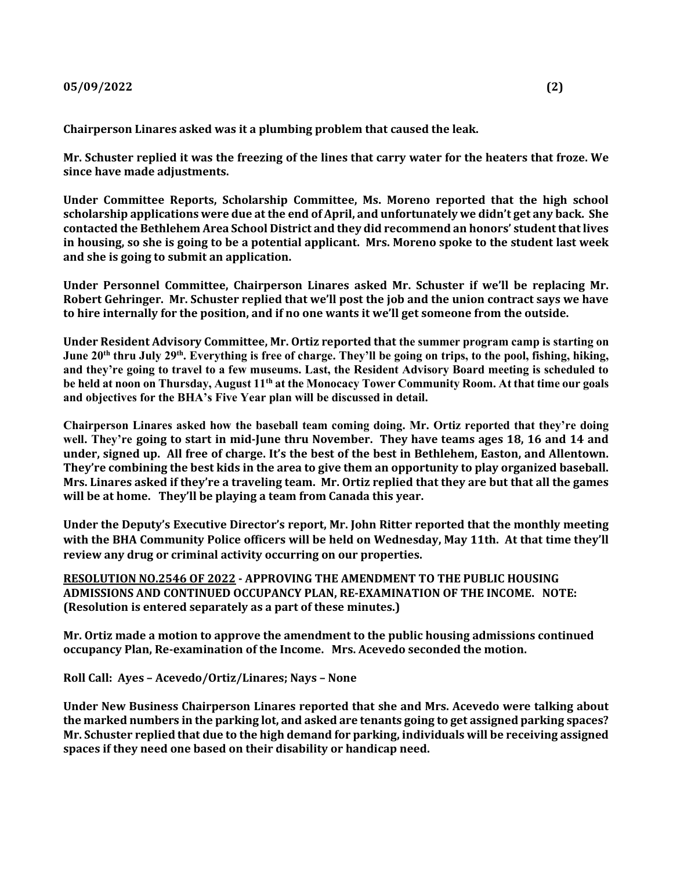Chairperson Linares asked was it a plumbing problem that caused the leak.

Mr. Schuster replied it was the freezing of the lines that carry water for the heaters that froze. We since have made adjustments.

Under Committee Reports, Scholarship Committee, Ms. Moreno reported that the high school scholarship applications were due at the end of April, and unfortunately we didn't get any back. She contacted the Bethlehem Area School District and they did recommend an honors' student that lives in housing, so she is going to be a potential applicant. Mrs. Moreno spoke to the student last week and she is going to submit an application.

Under Personnel Committee, Chairperson Linares asked Mr. Schuster if we'll be replacing Mr. Robert Gehringer. Mr. Schuster replied that we'll post the job and the union contract says we have to hire internally for the position, and if no one wants it we'll get someone from the outside.

Under Resident Advisory Committee, Mr. Ortiz reported that the summer program camp is starting on June 20<sup>th</sup> thru July 29<sup>th</sup>. Everything is free of charge. They'll be going on trips, to the pool, fishing, hiking, and they're going to travel to a few museums. Last, the Resident Advisory Board meeting is scheduled to be held at noon on Thursday, August 11<sup>th</sup> at the Monocacy Tower Community Room. At that time our goals and objectives for the BHA's Five Year plan will be discussed in detail.

Chairperson Linares asked how the baseball team coming doing. Mr. Ortiz reported that they're doing well. They're going to start in mid-June thru November. They have teams ages 18, 16 and 14 and under, signed up. All free of charge. It's the best of the best in Bethlehem, Easton, and Allentown. They're combining the best kids in the area to give them an opportunity to play organized baseball. Mrs. Linares asked if they're a traveling team. Mr. Ortiz replied that they are but that all the games will be at home. They'll be playing a team from Canada this year.

Under the Deputy's Executive Director's report, Mr. John Ritter reported that the monthly meeting with the BHA Community Police officers will be held on Wednesday, May 11th. At that time they'll review any drug or criminal activity occurring on our properties.

RESOLUTION NO.2546 OF 2022 - APPROVING THE AMENDMENT TO THE PUBLIC HOUSING ADMISSIONS AND CONTINUED OCCUPANCY PLAN, RE-EXAMINATION OF THE INCOME. NOTE: (Resolution is entered separately as a part of these minutes.)

Mr. Ortiz made a motion to approve the amendment to the public housing admissions continued occupancy Plan, Re-examination of the Income. Mrs. Acevedo seconded the motion.

Roll Call: Ayes – Acevedo/Ortiz/Linares; Nays – None

Under New Business Chairperson Linares reported that she and Mrs. Acevedo were talking about the marked numbers in the parking lot, and asked are tenants going to get assigned parking spaces? Mr. Schuster replied that due to the high demand for parking, individuals will be receiving assigned spaces if they need one based on their disability or handicap need.